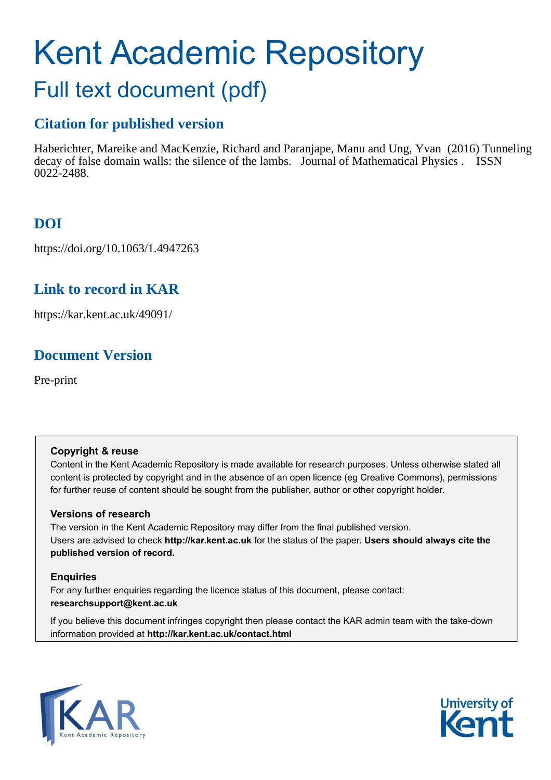# Kent Academic Repository Full text document (pdf)

# **Citation for published version**

Haberichter, Mareike and MacKenzie, Richard and Paranjape, Manu and Ung, Yvan (2016) Tunneling decay of false domain walls: the silence of the lambs. Journal of Mathematical Physics . ISSN 0022-2488.

# **DOI**

https://doi.org/10.1063/1.4947263

# **Link to record in KAR**

https://kar.kent.ac.uk/49091/

# **Document Version**

Pre-print

### **Copyright & reuse**

Content in the Kent Academic Repository is made available for research purposes. Unless otherwise stated all content is protected by copyright and in the absence of an open licence (eg Creative Commons), permissions for further reuse of content should be sought from the publisher, author or other copyright holder.

### **Versions of research**

The version in the Kent Academic Repository may differ from the final published version. Users are advised to check **http://kar.kent.ac.uk** for the status of the paper. **Users should always cite the published version of record.**

### **Enquiries**

<span id="page-0-3"></span>For any further enquiries regarding the licence status of this document, please contact: **researchsupport@kent.ac.uk**

<span id="page-0-2"></span><span id="page-0-1"></span><span id="page-0-0"></span>If you believe this document infringes copyright then please contact the KAR admin team with the take-down information provided at **http://kar.kent.ac.uk/contact.html**

<span id="page-0-4"></span>

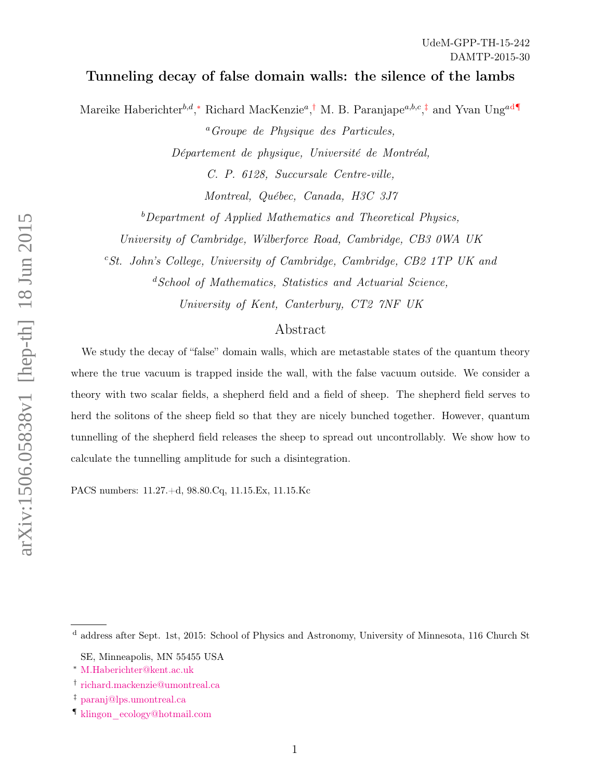#### Tunneling decay of false domain walls: the silence of the lambs

Mareike Haberichter<sup>b,d</sup>,<sup>\*</sup> Richard MacKenzie<sup>a</sup>,<sup>[†](#page-0-1)</sup> M. B. Paranjape<sup>a,b,c</sup>,<sup>[‡](#page-0-2)</sup> an[d](#page-0-3) Yvan Ung<sup>ad[¶](#page-0-4)</sup>

<sup>a</sup>Groupe de Physique des Particules, Département de physique, Université de Montréal, C. P. 6128, Succursale Centre-ville,

Montreal, Québec, Canada, H3C 3J7

 $b$  Department of Applied Mathematics and Theoretical Physics,

University of Cambridge, Wilberforce Road, Cambridge, CB3 0WA UK

 ${}^{c}St.$  John's College, University of Cambridge, Cambridge, CB2 1TP UK and

<sup>d</sup>School of Mathematics, Statistics and Actuarial Science,

University of Kent, Canterbury, CT2 7NF UK

#### Abstract

We study the decay of "false" domain walls, which are metastable states of the quantum theory where the true vacuum is trapped inside the wall, with the false vacuum outside. We consider a theory with two scalar fields, a shepherd field and a field of sheep. The shepherd field serves to herd the solitons of the sheep field so that they are nicely bunched together. However, quantum tunnelling of the shepherd field releases the sheep to spread out uncontrollably. We show how to calculate the tunnelling amplitude for such a disintegration.

PACS numbers: 11.27.+d, 98.80.Cq, 11.15.Ex, 11.15.Kc

<sup>d</sup> address after Sept. 1st, 2015: School of Physics and Astronomy, University of Minnesota, 116 Church St

SE, Minneapolis, MN 55455 USA

<sup>∗</sup> [M.Haberichter@kent.ac.uk](mailto:M.Haberichter@kent.ac.uk)

<sup>†</sup> [richard.mackenzie@umontreal.ca](mailto:richard.mackenzie@umontreal.ca)

<sup>‡</sup> [paranj@lps.umontreal.ca](mailto:paranj@lps.umontreal.ca)

<sup>¶</sup> [klingon\\_ecology@hotmail.com](mailto:klingon_ecology@hotmail.com)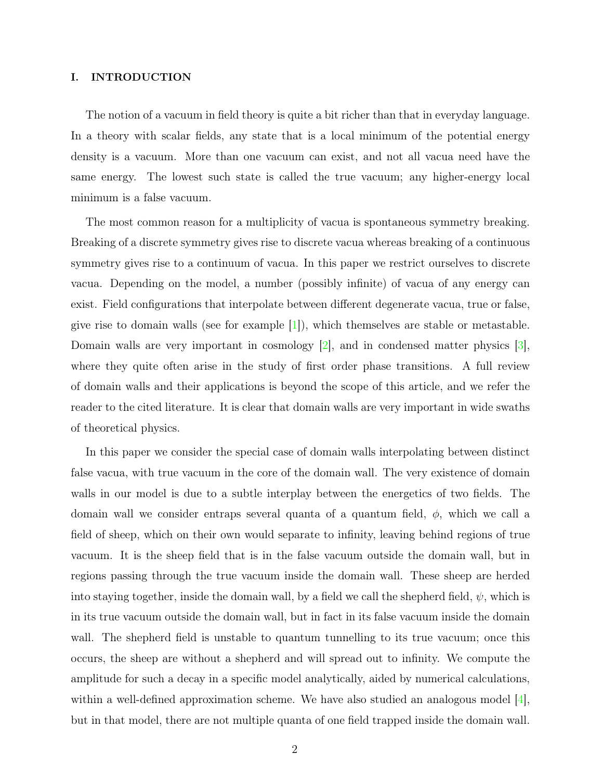#### I. INTRODUCTION

The notion of a vacuum in field theory is quite a bit richer than that in everyday language. In a theory with scalar fields, any state that is a local minimum of the potential energy density is a vacuum. More than one vacuum can exist, and not all vacua need have the same energy. The lowest such state is called the true vacuum; any higher-energy local minimum is a false vacuum.

<span id="page-2-1"></span>The most common reason for a multiplicity of vacua is spontaneous symmetry breaking. Breaking of a discrete symmetry gives rise to discrete vacua whereas breaking of a continuous symmetry gives rise to a continuum of vacua. In this paper we restrict ourselves to discrete vacua. Depending on the model, a number (possibly infinite) of vacua of any energy can exist. Field configurations that interpolate between different degenerate vacua, true or false, give rise to domain walls (see for example  $[1]$ ), which themselves are stable or metastable. Domain walls are very important in cosmology [\[2\]](#page-19-1), and in condensed matter physics [\[3\]](#page-19-2), where they quite often arise in the study of first order phase transitions. A full review of domain walls and their applications is beyond the scope of this article, and we refer the reader to the cited literature. It is clear that domain walls are very important in wide swaths of theoretical physics.

<span id="page-2-0"></span>In this paper we consider the special case of domain walls interpolating between distinct false vacua, with true vacuum in the core of the domain wall. The very existence of domain walls in our model is due to a subtle interplay between the energetics of two fields. The domain wall we consider entraps several quanta of a quantum field,  $\phi$ , which we call a field of sheep, which on their own would separate to infinity, leaving behind regions of true vacuum. It is the sheep field that is in the false vacuum outside the domain wall, but in regions passing through the true vacuum inside the domain wall. These sheep are herded into staying together, inside the domain wall, by a field we call the shepherd field,  $\psi$ , which is in its true vacuum outside the domain wall, but in fact in its false vacuum inside the domain wall. The shepherd field is unstable to quantum tunnelling to its true vacuum; once this occurs, the sheep are without a shepherd and will spread out to infinity. We compute the amplitude for such a decay in a specific model analytically, aided by numerical calculations, within a well-defined approximation scheme. We have also studied an analogous model  $[4]$ , but in that model, there are not multiple quanta of one field trapped inside the domain wall.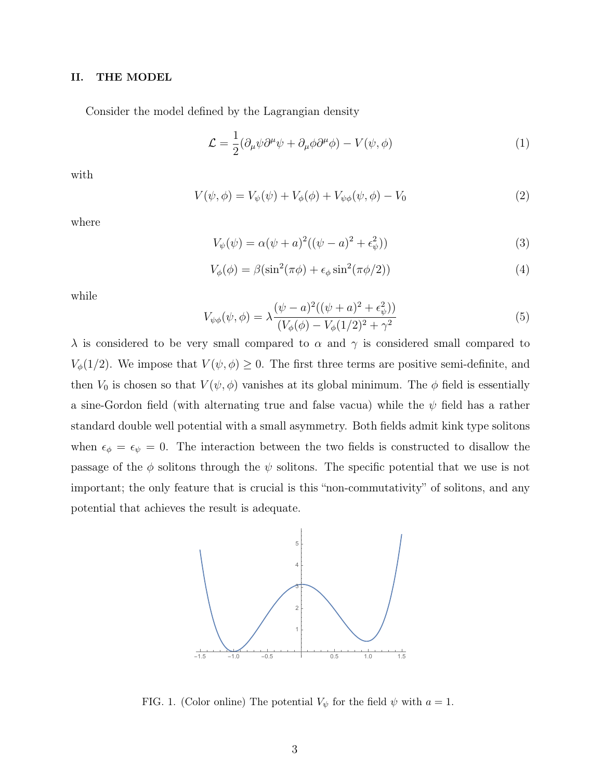#### II. THE MODEL

Consider the model defined by the Lagrangian density

$$
\mathcal{L} = \frac{1}{2} (\partial_{\mu} \psi \partial^{\mu} \psi + \partial_{\mu} \phi \partial^{\mu} \phi) - V(\psi, \phi)
$$
 (1)

with

$$
V(\psi, \phi) = V_{\psi}(\psi) + V_{\phi}(\phi) + V_{\psi\phi}(\psi, \phi) - V_0
$$
 (2)

where

<span id="page-3-0"></span>
$$
V_{\psi}(\psi) = \alpha(\psi + a)^{2}((\psi - a)^{2} + \epsilon_{\psi}^{2}))
$$
\n(3)

$$
V_{\phi}(\phi) = \beta(\sin^2(\pi\phi) + \epsilon_{\phi}\sin^2(\pi\phi/2))
$$
\n(4)

while

$$
V_{\psi\phi}(\psi,\phi) = \lambda \frac{(\psi - a)^2((\psi + a)^2 + \epsilon_{\psi}^2)}{(V_{\phi}(\phi) - V_{\phi}(1/2)^2 + \gamma^2)}
$$
(5)

 $\lambda$  is considered to be very small compared to  $\alpha$  and  $\gamma$  is considered small compared to  $V_{\phi}(1/2)$ . We impose that  $V(\psi, \phi) \geq 0$ . The first three terms are positive semi-definite, and then  $V_0$  is chosen so that  $V(\psi, \phi)$  vanishes at its global minimum. The  $\phi$  field is essentially a sine-Gordon field (with alternating true and false vacua) while the  $\psi$  field has a rather standard double well potential with a small asymmetry. Both fields admit kink type solitons when  $\epsilon_{\phi} = \epsilon_{\psi} = 0$ . The interaction between the two fields is constructed to disallow the passage of the  $\phi$  solitons through the  $\psi$  solitons. The specific potential that we use is not important; the only feature that is crucial is this "non-commutativity" of solitons, and any potential that achieves the result is adequate.



FIG. 1. (Color online) The potential  $V_{\psi}$  for the field  $\psi$  with  $a = 1$ .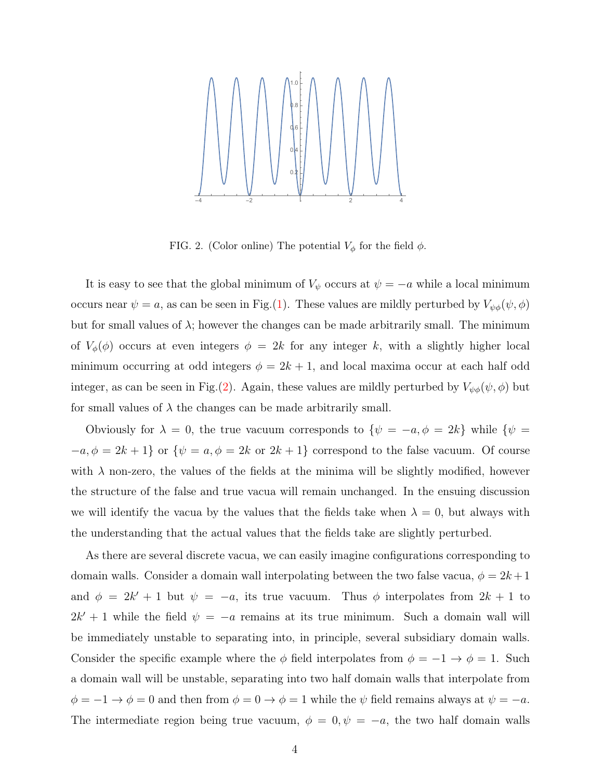

FIG. 2. (Color online) The potential  $V_{\phi}$  for the field  $\phi$ .

It is easy to see that the global minimum of  $V_{\psi}$  occurs at  $\psi = -a$  while a local minimum occurs near  $\psi = a$ , as can be seen in Fig.[\(1\)](#page-2-0). These values are mildly perturbed by  $V_{\psi\phi}(\psi, \phi)$ but for small values of  $\lambda$ ; however the changes can be made arbitrarily small. The minimum of  $V_{\phi}(\phi)$  occurs at even integers  $\phi = 2k$  for any integer k, with a slightly higher local minimum occurring at odd integers  $\phi = 2k + 1$ , and local maxima occur at each half odd integer, as can be seen in Fig.[\(2\)](#page-3-0). Again, these values are mildly perturbed by  $V_{\psi\phi}(\psi, \phi)$  but for small values of  $\lambda$  the changes can be made arbitrarily small.

Obviously for  $\lambda = 0$ , the true vacuum corresponds to  $\{\psi = -a, \phi = 2k\}$  while  $\{\psi = -a, \phi = 2k\}$  $-a, \phi = 2k + 1$ } or  $\{\psi = a, \phi = 2k \text{ or } 2k + 1\}$  correspond to the false vacuum. Of course with  $\lambda$  non-zero, the values of the fields at the minima will be slightly modified, however the structure of the false and true vacua will remain unchanged. In the ensuing discussion we will identify the vacua by the values that the fields take when  $\lambda = 0$ , but always with the understanding that the actual values that the fields take are slightly perturbed.

As there are several discrete vacua, we can easily imagine configurations corresponding to domain walls. Consider a domain wall interpolating between the two false vacua,  $\phi = 2k + 1$ and  $\phi = 2k' + 1$  but  $\psi = -a$ , its true vacuum. Thus  $\phi$  interpolates from  $2k + 1$  to  $2k' + 1$  while the field  $\psi = -a$  remains at its true minimum. Such a domain wall will be immediately unstable to separating into, in principle, several subsidiary domain walls. Consider the specific example where the  $\phi$  field interpolates from  $\phi = -1 \rightarrow \phi = 1$ . Such a domain wall will be unstable, separating into two half domain walls that interpolate from  $\phi = -1 \rightarrow \phi = 0$  and then from  $\phi = 0 \rightarrow \phi = 1$  while the  $\psi$  field remains always at  $\psi = -a$ . The intermediate region being true vacuum,  $\phi = 0, \psi = -a$ , the two half domain walls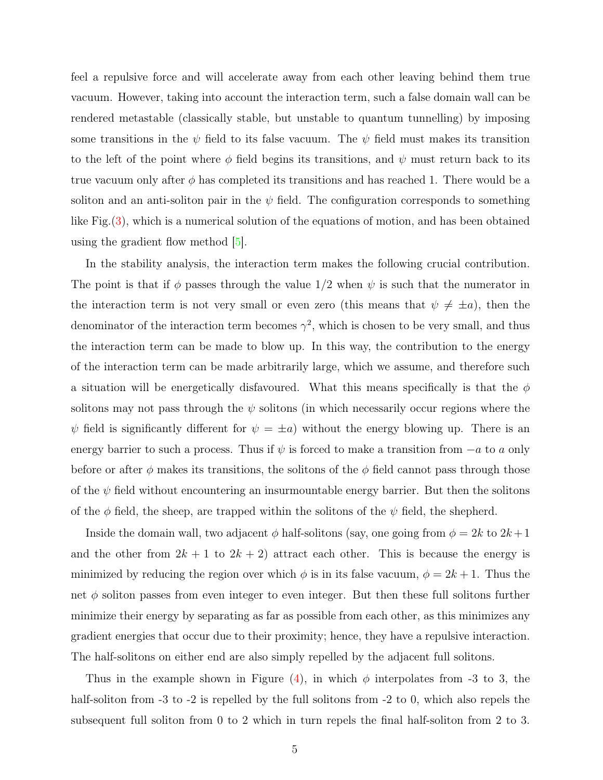feel a repulsive force and will accelerate away from each other leaving behind them true vacuum. However, taking into account the interaction term, such a false domain wall can be rendered metastable (classically stable, but unstable to quantum tunnelling) by imposing some transitions in the  $\psi$  field to its false vacuum. The  $\psi$  field must makes its transition to the left of the point where  $\phi$  field begins its transitions, and  $\psi$  must return back to its true vacuum only after  $\phi$  has completed its transitions and has reached 1. There would be a soliton and an anti-soliton pair in the  $\psi$  field. The configuration corresponds to something like Fig.[\(3\)](#page-5-0), which is a numerical solution of the equations of motion, and has been obtained using the gradient flow method  $|5|$ .

In the stability analysis, the interaction term makes the following crucial contribution. The point is that if  $\phi$  passes through the value 1/2 when  $\psi$  is such that the numerator in the interaction term is not very small or even zero (this means that  $\psi \neq \pm a$ ), then the denominator of the interaction term becomes  $\gamma^2$ , which is chosen to be very small, and thus the interaction term can be made to blow up. In this way, the contribution to the energy of the interaction term can be made arbitrarily large, which we assume, and therefore such a situation will be energetically disfavoured. What this means specifically is that the  $\phi$ solitons may not pass through the  $\psi$  solitons (in which necessarily occur regions where the  $\psi$  field is significantly different for  $\psi = \pm a$ ) without the energy blowing up. There is an energy barrier to such a process. Thus if  $\psi$  is forced to make a transition from  $-a$  to a only before or after  $\phi$  makes its transitions, the solitons of the  $\phi$  field cannot pass through those of the  $\psi$  field without encountering an insurmountable energy barrier. But then the solitons of the  $\phi$  field, the sheep, are trapped within the solitons of the  $\psi$  field, the shepherd.

Inside the domain wall, two adjacent  $\phi$  half-solitons (say, one going from  $\phi = 2k$  to  $2k+1$ and the other from  $2k + 1$  to  $2k + 2$ ) attract each other. This is because the energy is minimized by reducing the region over which  $\phi$  is in its false vacuum,  $\phi = 2k + 1$ . Thus the net  $\phi$  soliton passes from even integer to even integer. But then these full solitons further minimize their energy by separating as far as possible from each other, as this minimizes any gradient energies that occur due to their proximity; hence, they have a repulsive interaction. The half-solitons on either end are also simply repelled by the adjacent full solitons.

<span id="page-5-0"></span>Thus in the example shown in Figure [\(4\)](#page-6-0), in which  $\phi$  interpolates from -3 to 3, the half-soliton from  $-3$  to  $-2$  is repelled by the full solitons from  $-2$  to 0, which also repels the subsequent full soliton from 0 to 2 which in turn repels the final half-soliton from 2 to 3.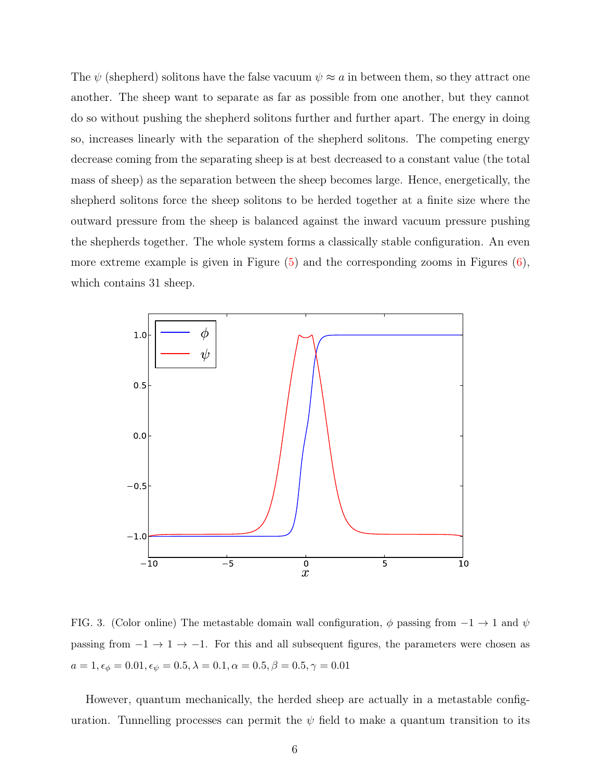The  $\psi$  (shepherd) solitons have the false vacuum  $\psi \approx a$  in between them, so they attract one another. The sheep want to separate as far as possible from one another, but they cannot do so without pushing the shepherd solitons further and further apart. The energy in doing so, increases linearly with the separation of the shepherd solitons. The competing energy decrease coming from the separating sheep is at best decreased to a constant value (the total mass of sheep) as the separation between the sheep becomes large. Hence, energetically, the shepherd solitons force the sheep solitons to be herded together at a finite size where the outward pressure from the sheep is balanced against the inward vacuum pressure pushing the shepherds together. The whole system forms a classically stable configuration. An even more extreme example is given in Figure  $(5)$  and the corresponding zooms in Figures  $(6)$ , which contains 31 sheep.

<span id="page-6-0"></span>

FIG. 3. (Color online) The metastable domain wall configuration,  $\phi$  passing from  $-1 \rightarrow 1$  and  $\psi$ passing from  $-1 \rightarrow 1 \rightarrow -1$ . For this and all subsequent figures, the parameters were chosen as  $a = 1, \epsilon_{\phi} = 0.01, \epsilon_{\psi} = 0.5, \lambda = 0.1, \alpha = 0.5, \beta = 0.5, \gamma = 0.01$ 

However, quantum mechanically, the herded sheep are actually in a metastable configuration. Tunnelling processes can permit the  $\psi$  field to make a quantum transition to its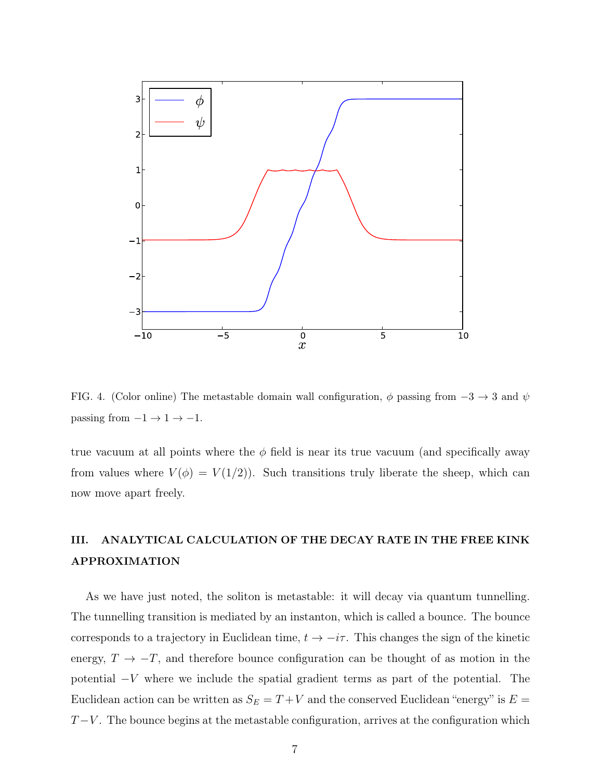

<span id="page-7-0"></span>FIG. 4. (Color online) The metastable domain wall configuration,  $\phi$  passing from  $-3 \rightarrow 3$  and  $\psi$ passing from  $-1 \rightarrow 1 \rightarrow -1$ .

true vacuum at all points where the  $\phi$  field is near its true vacuum (and specifically away from values where  $V(\phi) = V(1/2)$ . Such transitions truly liberate the sheep, which can now move apart freely.

## III. ANALYTICAL CALCULATION OF THE DECAY RATE IN THE FREE KINK APPROXIMATION

As we have just noted, the soliton is metastable: it will decay via quantum tunnelling. The tunnelling transition is mediated by an instanton, which is called a bounce. The bounce corresponds to a trajectory in Euclidean time,  $t \to -i\tau$ . This changes the sign of the kinetic energy,  $T \to -T$ , and therefore bounce configuration can be thought of as motion in the potential −V where we include the spatial gradient terms as part of the potential. The Euclidean action can be written as  $S_E = T + V$  and the conserved Euclidean "energy" is  $E =$  $T-V$ . The bounce begins at the metastable configuration, arrives at the configuration which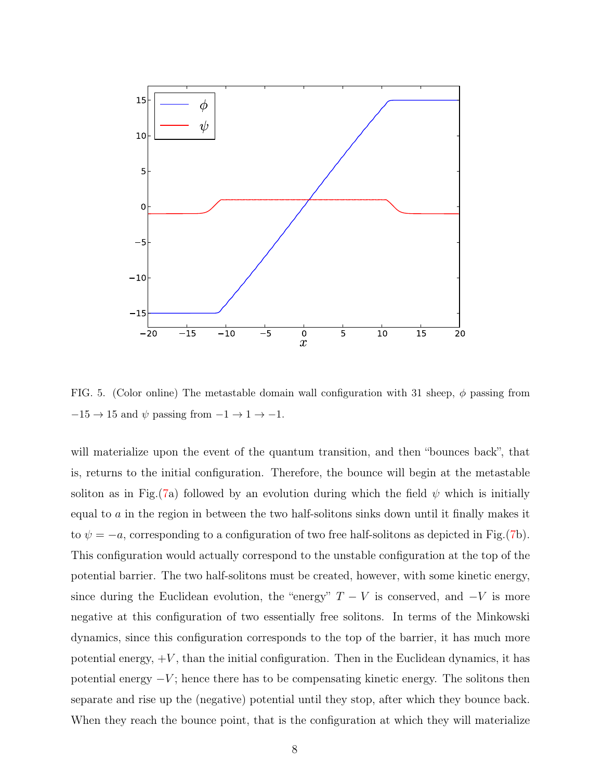

<span id="page-8-0"></span>FIG. 5. (Color online) The metastable domain wall configuration with 31 sheep,  $\phi$  passing from  $-15\rightarrow15$  and  $\psi$  passing from  $-1\rightarrow1\rightarrow-1.$ 

will materialize upon the event of the quantum transition, and then "bounces back", that is, returns to the initial configuration. Therefore, the bounce will begin at the metastable soliton as in Fig.[\(7a](#page-14-0)) followed by an evolution during which the field  $\psi$  which is initially equal to a in the region in between the two half-solitons sinks down until it finally makes it to  $\psi = -a$ , corresponding to a configuration of two free half-solitons as depicted in Fig.[\(7b](#page-14-0)). This configuration would actually correspond to the unstable configuration at the top of the potential barrier. The two half-solitons must be created, however, with some kinetic energy, since during the Euclidean evolution, the "energy"  $T - V$  is conserved, and  $-V$  is more negative at this configuration of two essentially free solitons. In terms of the Minkowski dynamics, since this configuration corresponds to the top of the barrier, it has much more potential energy,  $+V$ , than the initial configuration. Then in the Euclidean dynamics, it has potential energy  $-V$ ; hence there has to be compensating kinetic energy. The solitons then separate and rise up the (negative) potential until they stop, after which they bounce back. When they reach the bounce point, that is the configuration at which they will materialize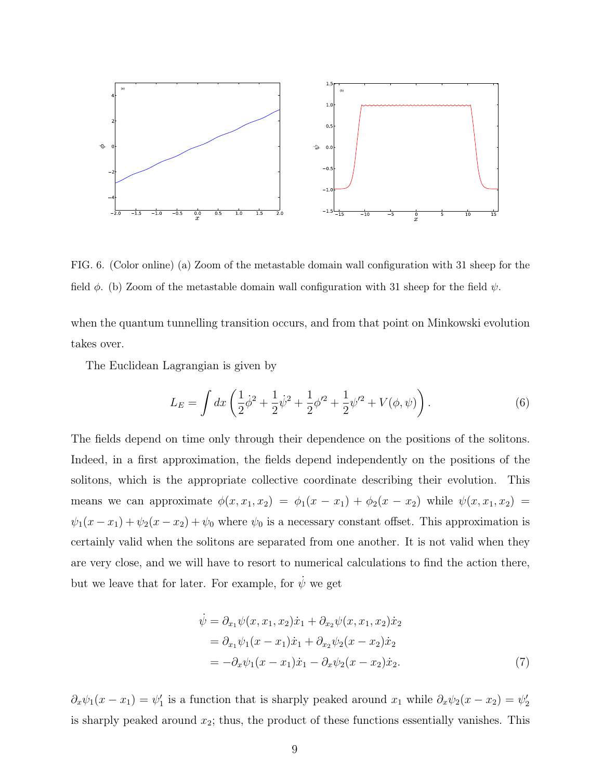

<span id="page-9-0"></span>FIG. 6. (Color online) (a) Zoom of the metastable domain wall configuration with 31 sheep for the field  $\phi$ . (b) Zoom of the metastable domain wall configuration with 31 sheep for the field  $\psi$ .

when the quantum tunnelling transition occurs, and from that point on Minkowski evolution takes over.

The Euclidean Lagrangian is given by

<span id="page-9-1"></span>
$$
L_E = \int dx \left( \frac{1}{2} \dot{\phi}^2 + \frac{1}{2} \dot{\psi}^2 + \frac{1}{2} \phi'^2 + \frac{1}{2} \psi'^2 + V(\phi, \psi) \right). \tag{6}
$$

The fields depend on time only through their dependence on the positions of the solitons. Indeed, in a first approximation, the fields depend independently on the positions of the solitons, which is the appropriate collective coordinate describing their evolution. This means we can approximate  $\phi(x, x_1, x_2) = \phi_1(x - x_1) + \phi_2(x - x_2)$  while  $\psi(x, x_1, x_2) =$  $\psi_1(x-x_1) + \psi_2(x-x_2) + \psi_0$  where  $\psi_0$  is a necessary constant offset. This approximation is certainly valid when the solitons are separated from one another. It is not valid when they are very close, and we will have to resort to numerical calculations to find the action there, but we leave that for later. For example, for  $\dot{\psi}$  we get

<span id="page-9-2"></span>
$$
\begin{aligned}\n\dot{\psi} &= \partial_{x_1} \psi(x, x_1, x_2) \dot{x}_1 + \partial_{x_2} \psi(x, x_1, x_2) \dot{x}_2 \\
&= \partial_{x_1} \psi_1(x - x_1) \dot{x}_1 + \partial_{x_2} \psi_2(x - x_2) \dot{x}_2 \\
&= -\partial_x \psi_1(x - x_1) \dot{x}_1 - \partial_x \psi_2(x - x_2) \dot{x}_2.\n\end{aligned} \tag{7}
$$

 $\partial_x \psi_1(x - x_1) = \psi'_1$  is a function that is sharply peaked around  $x_1$  while  $\partial_x \psi_2(x - x_2) = \psi'_2$ is sharply peaked around  $x_2$ ; thus, the product of these functions essentially vanishes. This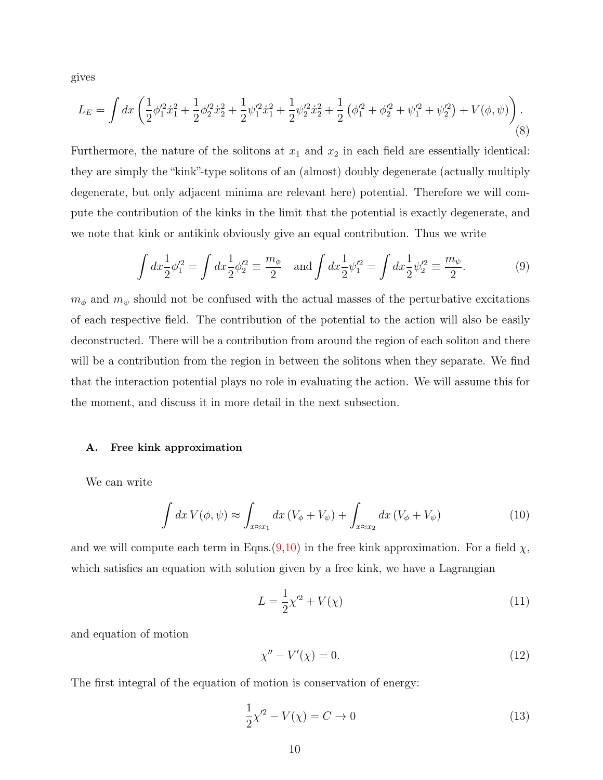gives

$$
L_E = \int dx \left( \frac{1}{2} \phi_1'^2 \dot{x}_1^2 + \frac{1}{2} \phi_2'^2 \dot{x}_2^2 + \frac{1}{2} \psi_1'^2 \dot{x}_1^2 + \frac{1}{2} \psi_2'^2 \dot{x}_2^2 + \frac{1}{2} \left( \phi_1'^2 + \phi_2'^2 + \psi_1'^2 + \psi_2'^2 \right) + V(\phi, \psi) \right). \tag{8}
$$

Furthermore, the nature of the solitons at  $x_1$  and  $x_2$  in each field are essentially identical: they are simply the "kink"-type solitons of an (almost) doubly degenerate (actually multiply degenerate, but only adjacent minima are relevant here) potential. Therefore we will compute the contribution of the kinks in the limit that the potential is exactly degenerate, and we note that kink or antikink obviously give an equal contribution. Thus we write

<span id="page-10-2"></span>
$$
\int dx \frac{1}{2} \phi_1'^2 = \int dx \frac{1}{2} \phi_2'^2 \equiv \frac{m_\phi}{2} \quad \text{and} \int dx \frac{1}{2} \psi_1'^2 = \int dx \frac{1}{2} \psi_2'^2 \equiv \frac{m_\psi}{2}.
$$
 (9)

<span id="page-10-0"></span> $m_{\phi}$  and  $m_{\psi}$  should not be confused with the actual masses of the perturbative excitations of each respective field. The contribution of the potential to the action will also be easily deconstructed. There will be a contribution from around the region of each soliton and there will be a contribution from the region in between the solitons when they separate. We find that the interaction potential plays no role in evaluating the action. We will assume this for the moment, and discuss it in more detail in the next subsection.

#### <span id="page-10-1"></span>A. Free kink approximation

We can write

$$
\int dx V(\phi, \psi) \approx \int_{x \approx x_1} dx (V_{\phi} + V_{\psi}) + \int_{x \approx x_2} dx (V_{\phi} + V_{\psi})
$$
\n(10)

and we will compute each term in Eqns.[\(9](#page-9-0)[,10\)](#page-9-1) in the free kink approximation. For a field  $\chi$ , which satisfies an equation with solution given by a free kink, we have a Lagrangian

$$
L = \frac{1}{2}\chi'^2 + V(\chi)
$$
 (11)

and equation of motion

$$
\chi'' - V'(\chi) = 0. \tag{12}
$$

The first integral of the equation of motion is conservation of energy:

$$
\frac{1}{2}\chi'^2 - V(\chi) = C \to 0
$$
\n(13)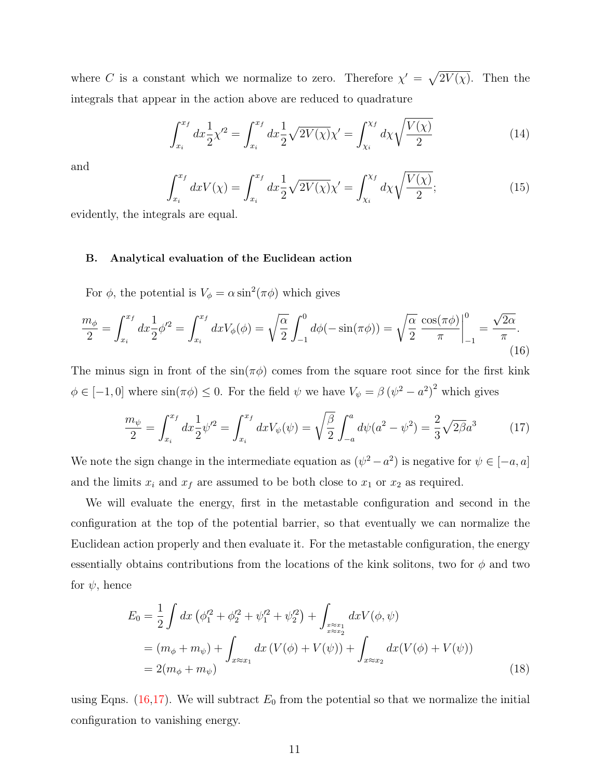where C is a constant which we normalize to zero. Therefore  $\chi' = \sqrt{2V(\chi)}$ . Then the integrals that appear in the action above are reduced to quadrature

$$
\int_{x_i}^{x_f} dx \frac{1}{2} \chi'^2 = \int_{x_i}^{x_f} dx \frac{1}{2} \sqrt{2V(\chi)} \chi' = \int_{\chi_i}^{\chi_f} d\chi \sqrt{\frac{V(\chi)}{2}} \tag{14}
$$

and

$$
\int_{x_i}^{x_f} dx V(\chi) = \int_{x_i}^{x_f} dx \frac{1}{2} \sqrt{2V(\chi)} \chi' = \int_{\chi_i}^{\chi_f} d\chi \sqrt{\frac{V(\chi)}{2}};
$$
\n(15)

evidently, the integrals are equal.

#### B. Analytical evaluation of the Euclidean action

For  $\phi$ , the potential is  $V_{\phi} = \alpha \sin^2(\pi \phi)$  which gives

$$
\frac{m_{\phi}}{2} = \int_{x_i}^{x_f} dx \frac{1}{2} \phi'^2 = \int_{x_i}^{x_f} dx V_{\phi}(\phi) = \sqrt{\frac{\alpha}{2}} \int_{-1}^0 d\phi (-\sin(\pi \phi)) = \sqrt{\frac{\alpha}{2}} \left. \frac{\cos(\pi \phi)}{\pi} \right|_{-1}^0 = \frac{\sqrt{2\alpha}}{\pi}.
$$
\n(16)

The minus sign in front of the  $\sin(\pi\phi)$  comes from the square root since for the first kink  $\phi \in [-1,0]$  where  $\sin(\pi \phi) \leq 0$ . For the field  $\psi$  we have  $V_{\psi} = \beta (\psi^2 - a^2)^2$  which gives

<span id="page-11-1"></span>
$$
\frac{m_{\psi}}{2} = \int_{x_i}^{x_f} dx \frac{1}{2} {\psi'}^2 = \int_{x_i}^{x_f} dx V_{\psi}(\psi) = \sqrt{\frac{\beta}{2}} \int_{-a}^{a} d\psi (a^2 - \psi^2) = \frac{2}{3} \sqrt{2\beta} a^3 \tag{17}
$$

We note the sign change in the intermediate equation as  $(\psi^2 - a^2)$  is negative for  $\psi \in [-a, a]$ and the limits  $x_i$  and  $x_f$  are assumed to be both close to  $x_1$  or  $x_2$  as required.

We will evaluate the energy, first in the metastable configuration and second in the configuration at the top of the potential barrier, so that eventually we can normalize the Euclidean action properly and then evaluate it. For the metastable configuration, the energy essentially obtains contributions from the locations of the kink solitons, two for  $\phi$  and two for  $\psi$ , hence

<span id="page-11-0"></span>
$$
E_0 = \frac{1}{2} \int dx \left( \phi_1'^2 + \phi_2'^2 + \psi_1'^2 + \psi_2'^2 \right) + \int_{x \approx x_1 \atop x \approx x_2} dx V(\phi, \psi)
$$
  
=  $(m_{\phi} + m_{\psi}) + \int_{x \approx x_1} dx \left( V(\phi) + V(\psi) \right) + \int_{x \approx x_2} dx (V(\phi) + V(\psi))$   
=  $2(m_{\phi} + m_{\psi})$  (18)

using Eqns. [\(16](#page-10-0)[,17\)](#page-10-1). We will subtract  $E_0$  from the potential so that we normalize the initial configuration to vanishing energy.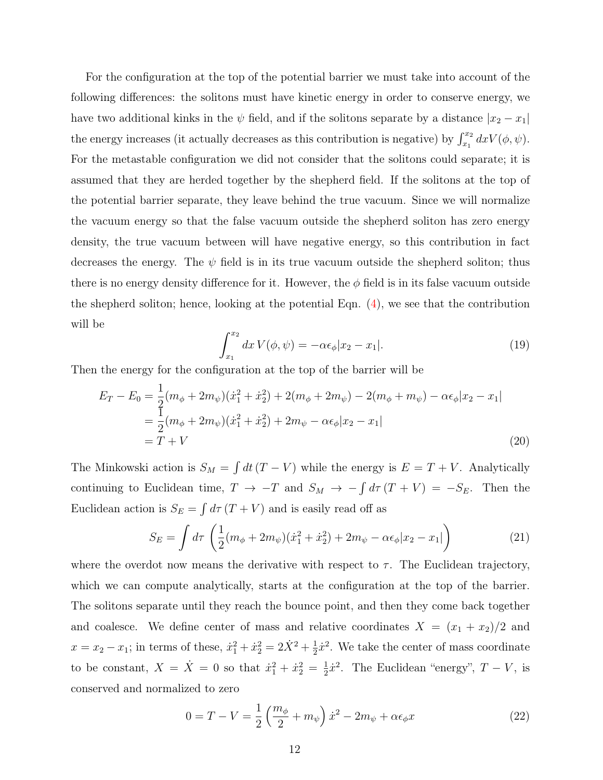<span id="page-12-0"></span>For the configuration at the top of the potential barrier we must take into account of the following differences: the solitons must have kinetic energy in order to conserve energy, we have two additional kinks in the  $\psi$  field, and if the solitons separate by a distance  $|x_2 - x_1|$ the energy increases (it actually decreases as this contribution is negative) by  $\int_{x_1}^{x_2} dx V(\phi, \psi)$ . For the metastable configuration we did not consider that the solitons could separate; it is assumed that they are herded together by the shepherd field. If the solitons at the top of the potential barrier separate, they leave behind the true vacuum. Since we will normalize the vacuum energy so that the false vacuum outside the shepherd soliton has zero energy density, the true vacuum between will have negative energy, so this contribution in fact decreases the energy. The  $\psi$  field is in its true vacuum outside the shepherd soliton; thus there is no energy density difference for it. However, the  $\phi$  field is in its false vacuum outside the shepherd soliton; hence, looking at the potential Eqn.  $(4)$ , we see that the contribution will be

$$
\int_{x_1}^{x_2} dx V(\phi, \psi) = -\alpha \epsilon_{\phi} |x_2 - x_1|.
$$
 (19)

<span id="page-12-1"></span>Then the energy for the configuration at the top of the barrier will be

$$
E_T - E_0 = \frac{1}{2}(m_{\phi} + 2m_{\psi})(\dot{x}_1^2 + \dot{x}_2^2) + 2(m_{\phi} + 2m_{\psi}) - 2(m_{\phi} + m_{\psi}) - \alpha \epsilon_{\phi}|x_2 - x_1|
$$
  
= 
$$
\frac{1}{2}(m_{\phi} + 2m_{\psi})(\dot{x}_1^2 + \dot{x}_2^2) + 2m_{\psi} - \alpha \epsilon_{\phi}|x_2 - x_1|
$$
  
= 
$$
T + V
$$
 (20)

The Minkowski action is  $S_M = \int dt (T - V)$  while the energy is  $E = T + V$ . Analytically continuing to Euclidean time,  $T \to -T$  and  $S_M \to -\int d\tau (T + V) = -S_E$ . Then the Euclidean action is  $S_E = \int d\tau (T + V)$  and is easily read off as

$$
S_E = \int d\tau \left( \frac{1}{2} (m_\phi + 2m_\psi)(\dot{x}_1^2 + \dot{x}_2^2) + 2m_\psi - \alpha \epsilon_\phi |x_2 - x_1| \right) \tag{21}
$$

where the overdot now means the derivative with respect to  $\tau$ . The Euclidean trajectory, which we can compute analytically, starts at the configuration at the top of the barrier. The solitons separate until they reach the bounce point, and then they come back together and coalesce. We define center of mass and relative coordinates  $X = (x_1 + x_2)/2$  and  $x = x_2 - x_1$ ; in terms of these,  $\dot{x}_1^2 + \dot{x}_2^2 = 2\dot{X}^2 + \frac{1}{2}$  $\frac{1}{2}\dot{x}^2$ . We take the center of mass coordinate to be constant,  $X = \dot{X} = 0$  so that  $\dot{x}_1^2 + \dot{x}_2^2 = \frac{1}{2}$  $\frac{1}{2}\dot{x}^2$ . The Euclidean "energy",  $T - V$ , is conserved and normalized to zero

$$
0 = T - V = \frac{1}{2} \left( \frac{m_{\phi}}{2} + m_{\psi} \right) \dot{x}^{2} - 2m_{\psi} + \alpha \epsilon_{\phi} x \tag{22}
$$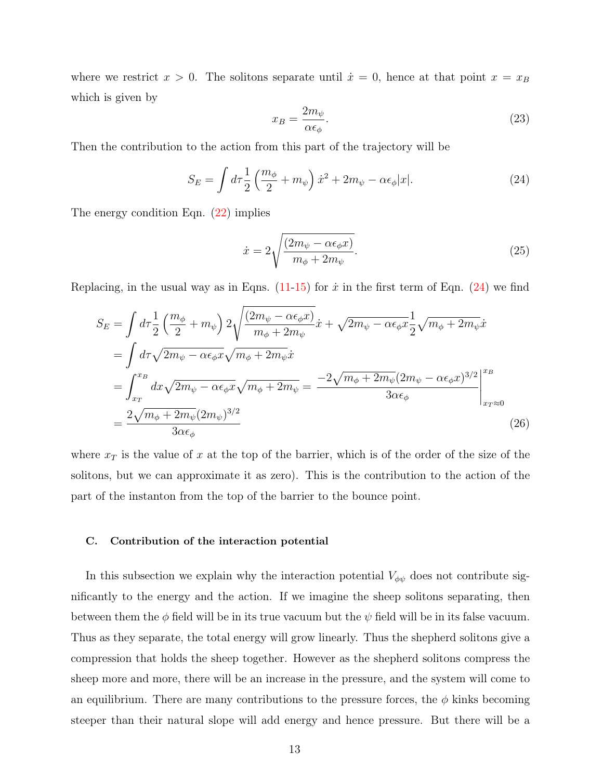where we restrict  $x > 0$ . The solitons separate until  $\dot{x} = 0$ , hence at that point  $x = x_B$ which is given by

$$
x_B = \frac{2m_{\psi}}{\alpha \epsilon_{\phi}}.\tag{23}
$$

Then the contribution to the action from this part of the trajectory will be

$$
S_E = \int d\tau \frac{1}{2} \left( \frac{m_\phi}{2} + m_\psi \right) \dot{x}^2 + 2m_\psi - \alpha \epsilon_\phi |x|.
$$
 (24)

The energy condition Eqn. [\(22\)](#page-11-0) implies

$$
\dot{x} = 2\sqrt{\frac{(2m_{\psi} - \alpha\epsilon_{\phi}x)}{m_{\phi} + 2m_{\psi}}}. \tag{25}
$$

Replacing, in the usual way as in Eqns. [\(11-](#page-9-2)[15\)](#page-10-2) for  $\dot{x}$  in the first term of Eqn. [\(24\)](#page-12-0) we find

$$
S_E = \int d\tau \frac{1}{2} \left( \frac{m_{\phi}}{2} + m_{\psi} \right) 2 \sqrt{\frac{(2m_{\psi} - \alpha \epsilon_{\phi} x)}{m_{\phi} + 2m_{\psi}}} \dot{x} + \sqrt{2m_{\psi} - \alpha \epsilon_{\phi} x} \frac{1}{2} \sqrt{m_{\phi} + 2m_{\psi}} \dot{x}
$$
  
\n
$$
= \int d\tau \sqrt{2m_{\psi} - \alpha \epsilon_{\phi} x} \sqrt{m_{\phi} + 2m_{\psi}} \dot{x}
$$
  
\n
$$
= \int_{x_T}^{x_B} dx \sqrt{2m_{\psi} - \alpha \epsilon_{\phi} x} \sqrt{m_{\phi} + 2m_{\psi}} = \frac{-2\sqrt{m_{\phi} + 2m_{\psi}} (2m_{\psi} - \alpha \epsilon_{\phi} x)^{3/2}}{3\alpha \epsilon_{\phi}} \Big|_{x_T \approx 0}^{x_B}
$$
  
\n
$$
= \frac{2\sqrt{m_{\phi} + 2m_{\psi}} (2m_{\psi})^{3/2}}{3\alpha \epsilon_{\phi}}
$$
 (26)

where  $x_T$  is the value of x at the top of the barrier, which is of the order of the size of the solitons, but we can approximate it as zero). This is the contribution to the action of the part of the instanton from the top of the barrier to the bounce point.

#### C. Contribution of the interaction potential

In this subsection we explain why the interaction potential  $V_{\phi\psi}$  does not contribute significantly to the energy and the action. If we imagine the sheep solitons separating, then between them the  $\phi$  field will be in its true vacuum but the  $\psi$  field will be in its false vacuum. Thus as they separate, the total energy will grow linearly. Thus the shepherd solitons give a compression that holds the sheep together. However as the shepherd solitons compress the sheep more and more, there will be an increase in the pressure, and the system will come to an equilibrium. There are many contributions to the pressure forces, the  $\phi$  kinks becoming steeper than their natural slope will add energy and hence pressure. But there will be a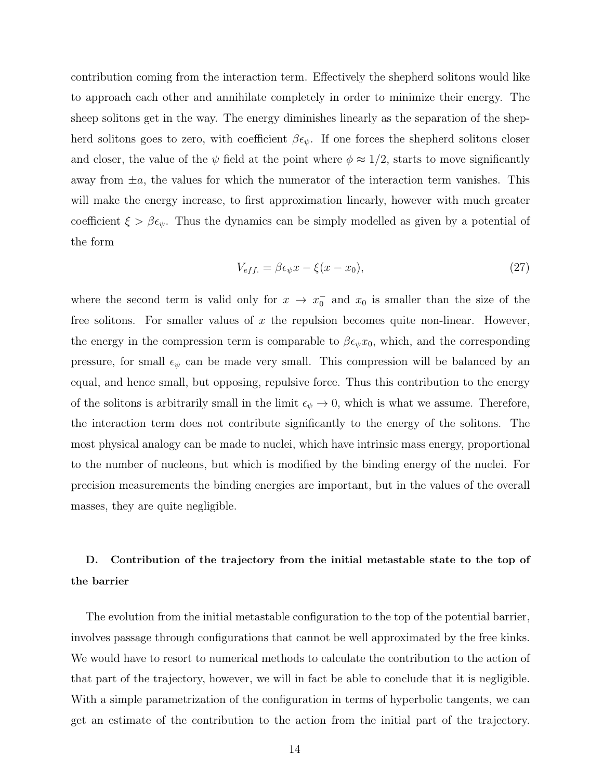contribution coming from the interaction term. Effectively the shepherd solitons would like to approach each other and annihilate completely in order to minimize their energy. The sheep solitons get in the way. The energy diminishes linearly as the separation of the shepherd solitons goes to zero, with coefficient  $\beta \epsilon_{\psi}$ . If one forces the shepherd solitons closer and closer, the value of the  $\psi$  field at the point where  $\phi \approx 1/2$ , starts to move significantly away from  $\pm a$ , the values for which the numerator of the interaction term vanishes. This will make the energy increase, to first approximation linearly, however with much greater coefficient  $\xi > \beta \epsilon_{\psi}$ . Thus the dynamics can be simply modelled as given by a potential of the form

$$
V_{eff.} = \beta \epsilon_{\psi} x - \xi (x - x_0), \qquad (27)
$$

<span id="page-14-0"></span>where the second term is valid only for  $x \to x_0^ \overline{0}$  and  $x_0$  is smaller than the size of the free solitons. For smaller values of  $x$  the repulsion becomes quite non-linear. However, the energy in the compression term is comparable to  $\beta \epsilon_{\psi} x_0$ , which, and the corresponding pressure, for small  $\epsilon_{\psi}$  can be made very small. This compression will be balanced by an equal, and hence small, but opposing, repulsive force. Thus this contribution to the energy of the solitons is arbitrarily small in the limit  $\epsilon_{\psi} \to 0$ , which is what we assume. Therefore, the interaction term does not contribute significantly to the energy of the solitons. The most physical analogy can be made to nuclei, which have intrinsic mass energy, proportional to the number of nucleons, but which is modified by the binding energy of the nuclei. For precision measurements the binding energies are important, but in the values of the overall masses, they are quite negligible.

### D. Contribution of the trajectory from the initial metastable state to the top of the barrier

The evolution from the initial metastable configuration to the top of the potential barrier, involves passage through configurations that cannot be well approximated by the free kinks. We would have to resort to numerical methods to calculate the contribution to the action of that part of the trajectory, however, we will in fact be able to conclude that it is negligible. With a simple parametrization of the configuration in terms of hyperbolic tangents, we can get an estimate of the contribution to the action from the initial part of the trajectory.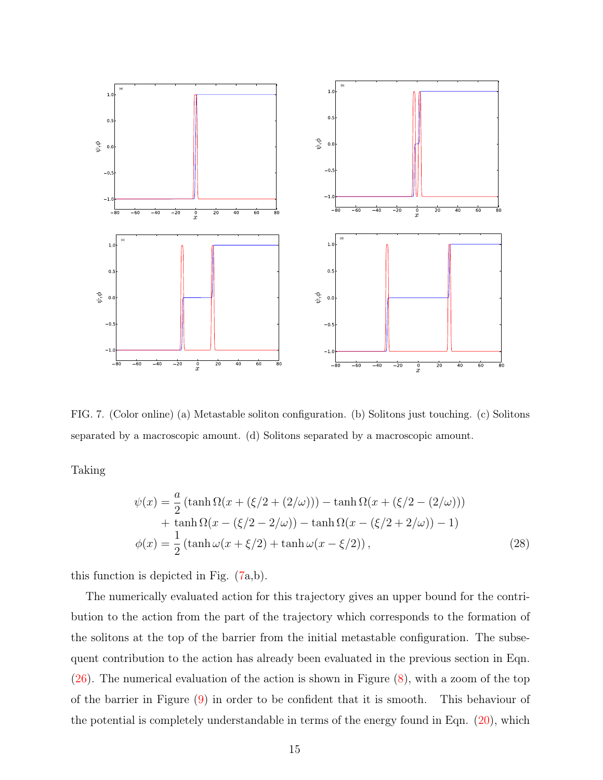

FIG. 7. (Color online) (a) Metastable soliton configuration. (b) Solitons just touching. (c) Solitons separated by a macroscopic amount. (d) Solitons separated by a macroscopic amount.

Taking

<span id="page-15-0"></span>
$$
\psi(x) = \frac{a}{2} \left( \tanh \Omega(x + (\xi/2 + (2/\omega))) - \tanh \Omega(x + (\xi/2 - (2/\omega))) \right. \n+ \tanh \Omega(x - (\xi/2 - 2/\omega)) - \tanh \Omega(x - (\xi/2 + 2/\omega)) - 1) \n\phi(x) = \frac{1}{2} \left( \tanh \omega(x + \xi/2) + \tanh \omega(x - \xi/2) \right),
$$
\n(28)

this function is depicted in Fig. [\(7a](#page-14-0),b).

The numerically evaluated action for this trajectory gives an upper bound for the contribution to the action from the part of the trajectory which corresponds to the formation of the solitons at the top of the barrier from the initial metastable configuration. The subsequent contribution to the action has already been evaluated in the previous section in Eqn. [\(26\)](#page-12-1). The numerical evaluation of the action is shown in Figure [\(8\)](#page-15-0), with a zoom of the top of the barrier in Figure [\(9\)](#page-16-0) in order to be confident that it is smooth. This behaviour of the potential is completely understandable in terms of the energy found in Eqn. [\(20\)](#page-11-1), which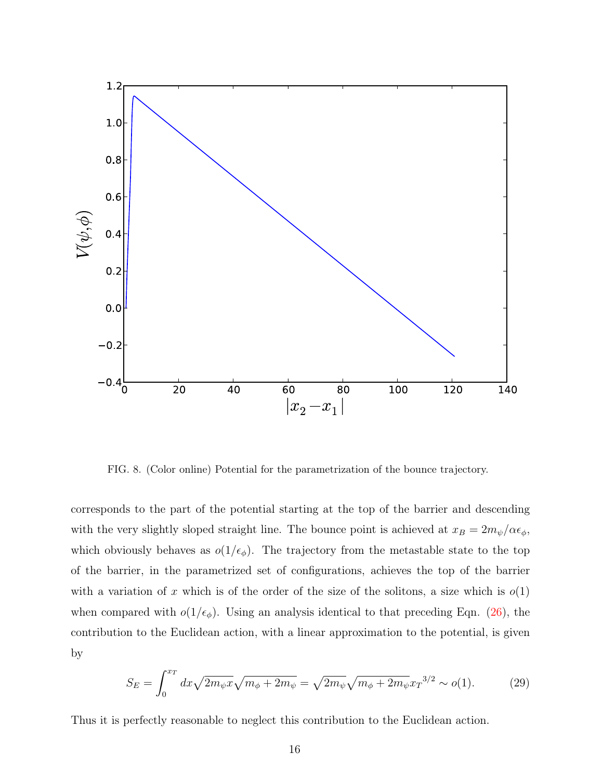

<span id="page-16-0"></span>FIG. 8. (Color online) Potential for the parametrization of the bounce trajectory.

corresponds to the part of the potential starting at the top of the barrier and descending with the very slightly sloped straight line. The bounce point is achieved at  $x_B = 2m_{\psi}/\alpha\epsilon_{\phi}$ , which obviously behaves as  $o(1/\epsilon_{\phi})$ . The trajectory from the metastable state to the top of the barrier, in the parametrized set of configurations, achieves the top of the barrier with a variation of x which is of the order of the size of the solitons, a size which is  $o(1)$ when compared with  $o(1/\epsilon_{\phi})$ . Using an analysis identical to that preceding Eqn. [\(26\)](#page-12-1), the contribution to the Euclidean action, with a linear approximation to the potential, is given by

$$
S_E = \int_0^{x_T} dx \sqrt{2m_{\psi}x} \sqrt{m_{\phi} + 2m_{\psi}} = \sqrt{2m_{\psi}} \sqrt{m_{\phi} + 2m_{\psi}x} \cdot x^{3/2} \sim o(1). \tag{29}
$$

Thus it is perfectly reasonable to neglect this contribution to the Euclidean action.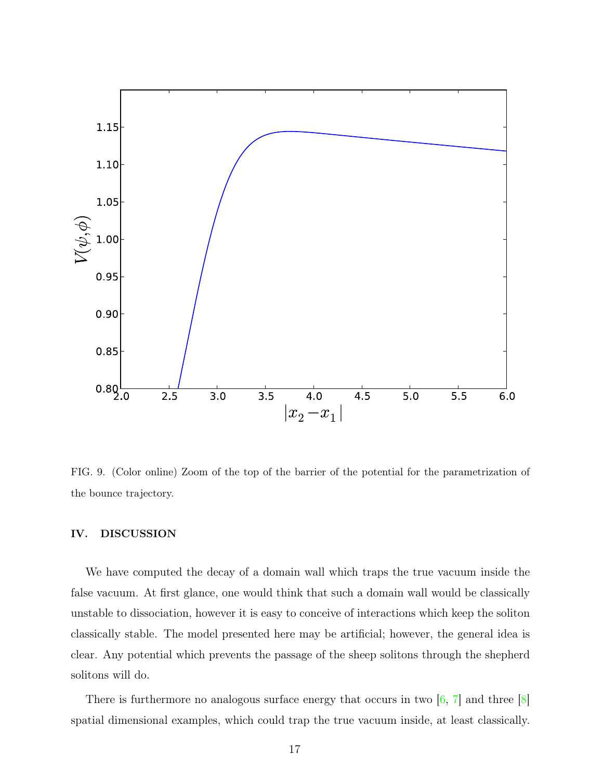

FIG. 9. (Color online) Zoom of the top of the barrier of the potential for the parametrization of the bounce trajectory.

#### IV. DISCUSSION

We have computed the decay of a domain wall which traps the true vacuum inside the false vacuum. At first glance, one would think that such a domain wall would be classically unstable to dissociation, however it is easy to conceive of interactions which keep the soliton classically stable. The model presented here may be artificial; however, the general idea is clear. Any potential which prevents the passage of the sheep solitons through the shepherd solitons will do.

There is furthermore no analogous surface energy that occurs in two  $\left[6, 7\right]$  and three  $\left[8\right]$ spatial dimensional examples, which could trap the true vacuum inside, at least classically.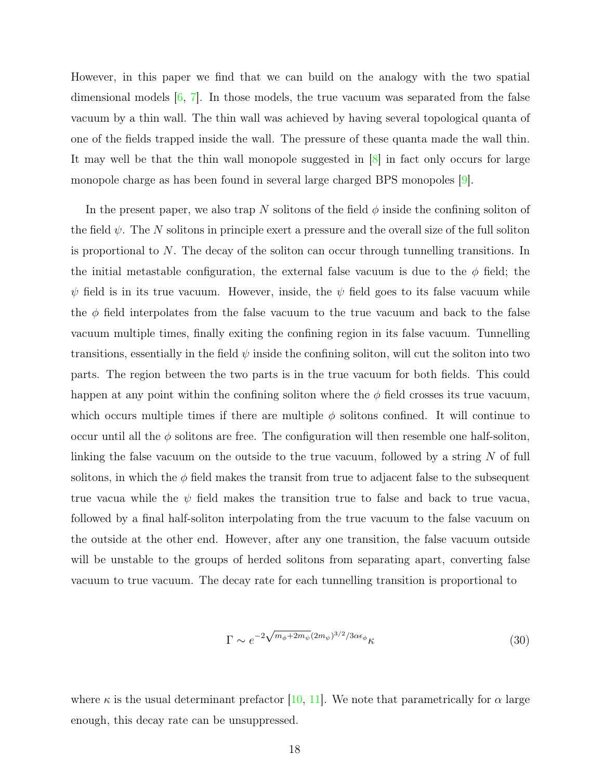However, in this paper we find that we can build on the analogy with the two spatial dimensional models  $[6, 7]$  $[6, 7]$ . In those models, the true vacuum was separated from the false vacuum by a thin wall. The thin wall was achieved by having several topological quanta of one of the fields trapped inside the wall. The pressure of these quanta made the wall thin. It may well be that the thin wall monopole suggested in [\[8\]](#page-19-7) in fact only occurs for large monopole charge as has been found in several large charged BPS monopoles [\[9\]](#page-19-8).

In the present paper, we also trap N solitons of the field  $\phi$  inside the confining soliton of the field  $\psi$ . The N solitons in principle exert a pressure and the overall size of the full soliton is proportional to N. The decay of the soliton can occur through tunnelling transitions. In the initial metastable configuration, the external false vacuum is due to the  $\phi$  field; the  $\psi$  field is in its true vacuum. However, inside, the  $\psi$  field goes to its false vacuum while the  $\phi$  field interpolates from the false vacuum to the true vacuum and back to the false vacuum multiple times, finally exiting the confining region in its false vacuum. Tunnelling transitions, essentially in the field  $\psi$  inside the confining soliton, will cut the soliton into two parts. The region between the two parts is in the true vacuum for both fields. This could happen at any point within the confining soliton where the  $\phi$  field crosses its true vacuum, which occurs multiple times if there are multiple  $\phi$  solitons confined. It will continue to occur until all the  $\phi$  solitons are free. The configuration will then resemble one half-soliton, linking the false vacuum on the outside to the true vacuum, followed by a string N of full solitons, in which the  $\phi$  field makes the transit from true to adjacent false to the subsequent true vacua while the  $\psi$  field makes the transition true to false and back to true vacua, followed by a final half-soliton interpolating from the true vacuum to the false vacuum on the outside at the other end. However, after any one transition, the false vacuum outside will be unstable to the groups of herded solitons from separating apart, converting false vacuum to true vacuum. The decay rate for each tunnelling transition is proportional to

$$
\Gamma \sim e^{-2\sqrt{m_{\phi} + 2m_{\psi}}(2m_{\psi})^{3/2}/3\alpha\epsilon_{\phi}}\kappa
$$
\n(30)

where  $\kappa$  is the usual determinant prefactor [\[10,](#page-19-9) [11\]](#page-19-10). We note that parametrically for  $\alpha$  large enough, this decay rate can be unsuppressed.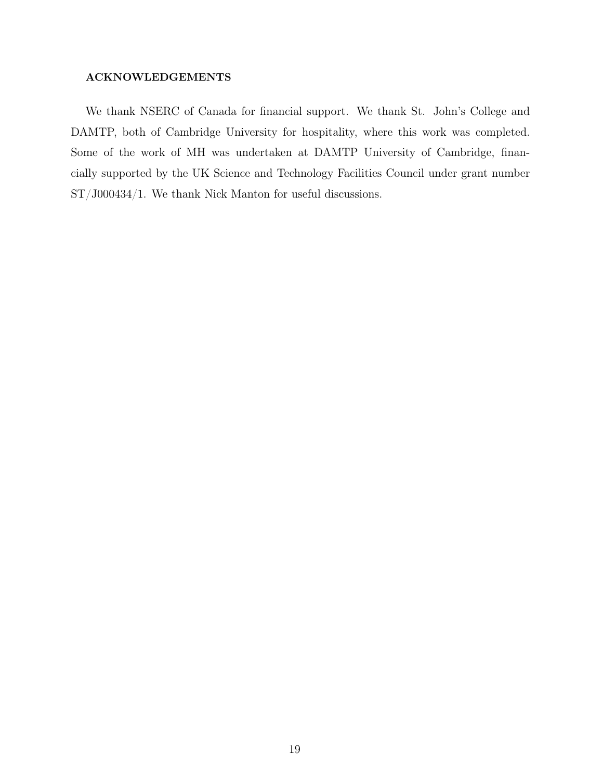#### ACKNOWLEDGEMENTS

<span id="page-19-10"></span><span id="page-19-9"></span><span id="page-19-8"></span><span id="page-19-7"></span><span id="page-19-6"></span><span id="page-19-5"></span><span id="page-19-4"></span><span id="page-19-3"></span><span id="page-19-2"></span><span id="page-19-1"></span><span id="page-19-0"></span>We thank NSERC of Canada for financial support. We thank St. John's College and DAMTP, both of Cambridge University for hospitality, where this work was completed. Some of the work of MH was undertaken at DAMTP University of Cambridge, financially supported by the UK Science and Technology Facilities Council under grant number ST/J000434/1. We thank Nick Manton for useful discussions.